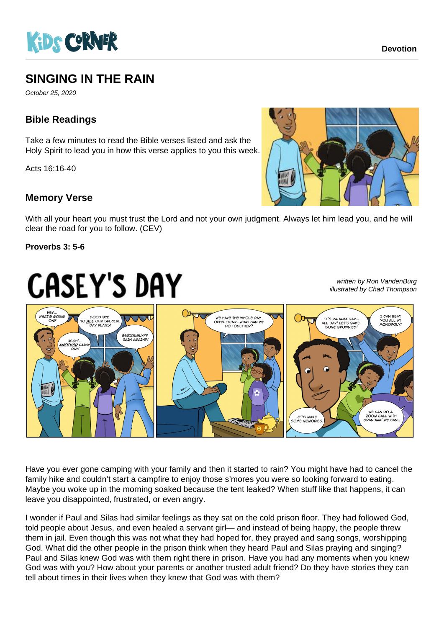

# **SINGING IN THE RAIN**

October 25, 2020

### **Bible Readings**

Take a few minutes to read the Bible verses listed and ask the Holy Spirit to lead you in how this verse applies to you this week.

Acts 16:16-40

#### **Memory Verse**

With all your heart you must trust the Lord and not your own judgment. Always let him lead you, and he will clear the road for you to follow. (CEV)

#### **Proverbs 3: 5-6**

written by Ron VandenBurg illustrated by Chad Thompson



Have you ever gone camping with your family and then it started to rain? You might have had to cancel the family hike and couldn't start a campfire to enjoy those s'mores you were so looking forward to eating. Maybe you woke up in the morning soaked because the tent leaked? When stuff like that happens, it can leave you disappointed, frustrated, or even angry.

I wonder if Paul and Silas had similar feelings as they sat on the cold prison floor. They had followed God, told people about Jesus, and even healed a servant girl— and instead of being happy, the people threw them in jail. Even though this was not what they had hoped for, they prayed and sang songs, worshipping God. What did the other people in the prison think when they heard Paul and Silas praying and singing? Paul and Silas knew God was with them right there in prison. Have you had any moments when you knew God was with you? How about your parents or another trusted adult friend? Do they have stories they can tell about times in their lives when they knew that God was with them?